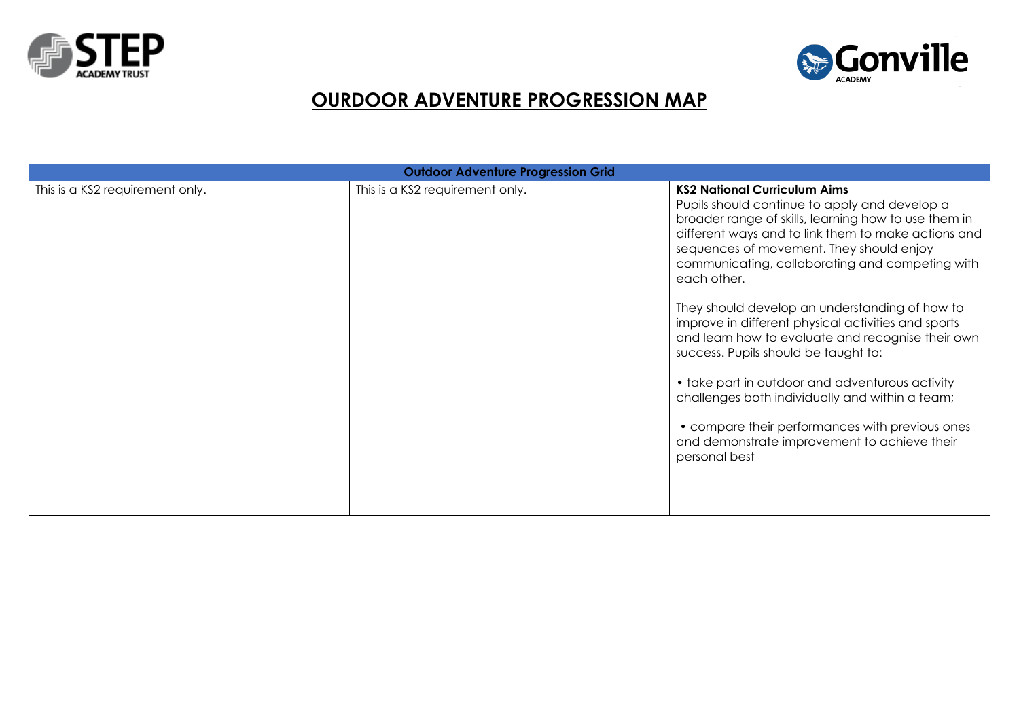



## **OURDOOR ADVENTURE PROGRESSION MAP**

| <b>Outdoor Adventure Progression Grid</b> |                                 |                                                                                                                                                                                                                                                                                                                                                                                                                                                                                                                                                                                                                                                                                                                                                   |  |  |  |  |
|-------------------------------------------|---------------------------------|---------------------------------------------------------------------------------------------------------------------------------------------------------------------------------------------------------------------------------------------------------------------------------------------------------------------------------------------------------------------------------------------------------------------------------------------------------------------------------------------------------------------------------------------------------------------------------------------------------------------------------------------------------------------------------------------------------------------------------------------------|--|--|--|--|
| This is a KS2 requirement only.           | This is a KS2 requirement only. | <b>KS2 National Curriculum Aims</b><br>Pupils should continue to apply and develop a<br>broader range of skills, learning how to use them in<br>different ways and to link them to make actions and<br>sequences of movement. They should enjoy<br>communicating, collaborating and competing with<br>each other.<br>They should develop an understanding of how to<br>improve in different physical activities and sports<br>and learn how to evaluate and recognise their own<br>success. Pupils should be taught to:<br>• take part in outdoor and adventurous activity<br>challenges both individually and within a team;<br>• compare their performances with previous ones<br>and demonstrate improvement to achieve their<br>personal best |  |  |  |  |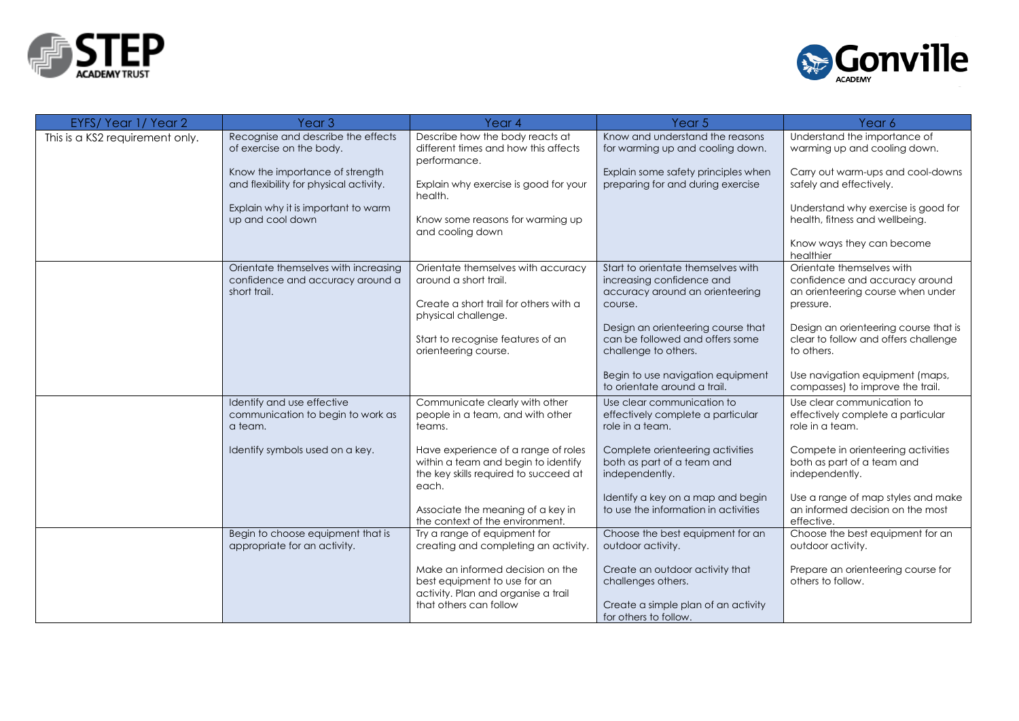



| This is a KS2 requirement only. | Recognise and describe the effects                                                       |                                                                                                                                   |                                                                                                                       |                                                                                                               |
|---------------------------------|------------------------------------------------------------------------------------------|-----------------------------------------------------------------------------------------------------------------------------------|-----------------------------------------------------------------------------------------------------------------------|---------------------------------------------------------------------------------------------------------------|
|                                 | of exercise on the body.                                                                 | Describe how the body reacts at<br>different times and how this affects<br>performance.                                           | Know and understand the reasons<br>for warming up and cooling down.                                                   | Understand the importance of<br>warming up and cooling down.                                                  |
|                                 | Know the importance of strength<br>and flexibility for physical activity.                | Explain why exercise is good for your<br>health.                                                                                  | Explain some safety principles when<br>preparing for and during exercise                                              | Carry out warm-ups and cool-downs<br>safely and effectively.                                                  |
|                                 | Explain why it is important to warm<br>up and cool down                                  | Know some reasons for warming up<br>and cooling down                                                                              |                                                                                                                       | Understand why exercise is good for<br>health, fitness and wellbeing.                                         |
|                                 |                                                                                          |                                                                                                                                   |                                                                                                                       | Know ways they can become<br>healthier                                                                        |
|                                 | Orientate themselves with increasing<br>confidence and accuracy around a<br>short trail. | Orientate themselves with accuracy<br>around a short trail.<br>Create a short trail for others with a<br>physical challenge.      | Start to orientate themselves with<br>increasing confidence and<br>accuracy around an orienteering<br>course.         | Orientate themselves with<br>confidence and accuracy around<br>an orienteering course when under<br>pressure. |
|                                 |                                                                                          | Start to recognise features of an<br>orienteering course.                                                                         | Design an orienteering course that<br>can be followed and offers some<br>challenge to others.                         | Design an orienteering course that is<br>clear to follow and offers challenge<br>to others.                   |
|                                 |                                                                                          |                                                                                                                                   | Begin to use navigation equipment<br>to orientate around a trail                                                      | Use navigation equipment (maps,<br>compasses) to improve the trail.                                           |
|                                 | Identify and use effective<br>communication to begin to work as<br>a team.               | Communicate clearly with other<br>people in a team, and with other<br>teams.                                                      | Use clear communication to<br>effectively complete a particular<br>role in a team.                                    | Use clear communication to<br>effectively complete a particular<br>role in a team.                            |
|                                 | Identify symbols used on a key.                                                          | Have experience of a range of roles<br>within a team and begin to identify<br>the key skills required to succeed at<br>each.      | Complete orienteering activities<br>both as part of a team and<br>independently.                                      | Compete in orienteering activities<br>both as part of a team and<br>independently.                            |
|                                 |                                                                                          | Associate the meaning of a key in<br>the context of the environment.                                                              | Identify a key on a map and begin<br>to use the information in activities                                             | Use a range of map styles and make<br>an informed decision on the most<br>effective.                          |
|                                 | Begin to choose equipment that is<br>appropriate for an activity.                        | Try a range of equipment for<br>creating and completing an activity.                                                              | Choose the best equipment for an<br>outdoor activity.                                                                 | Choose the best equipment for an<br>outdoor activity.                                                         |
|                                 |                                                                                          | Make an informed decision on the<br>best equipment to use for an<br>activity. Plan and organise a trail<br>that others can follow | Create an outdoor activity that<br>challenges others.<br>Create a simple plan of an activity<br>for others to follow. | Prepare an orienteering course for<br>others to follow.                                                       |